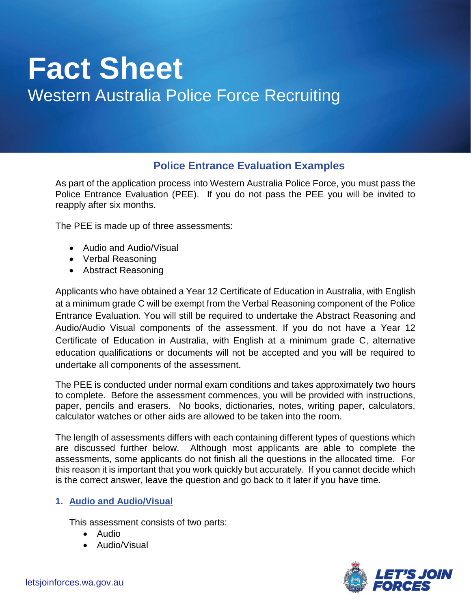### **Police Entrance Evaluation Examples**

As part of the application process into Western Australia Police Force, you must pass the Police Entrance Evaluation (PEE). If you do not pass the PEE you will be invited to reapply after six months.

The PEE is made up of three assessments:

- Audio and Audio/Visual
- Verbal Reasoning
- Abstract Reasoning

Applicants who have obtained a Year 12 Certificate of Education in Australia, with English at a minimum grade C will be exempt from the Verbal Reasoning component of the Police Entrance Evaluation. You will still be required to undertake the Abstract Reasoning and Audio/Audio Visual components of the assessment. If you do not have a Year 12 Certificate of Education in Australia, with English at a minimum grade C, alternative education qualifications or documents will not be accepted and you will be required to undertake all components of the assessment.

The PEE is conducted under normal exam conditions and takes approximately two hours to complete. Before the assessment commences, you will be provided with instructions, paper, pencils and erasers. No books, dictionaries, notes, writing paper, calculators, calculator watches or other aids are allowed to be taken into the room.

The length of assessments differs with each containing different types of questions which are discussed further below. Although most applicants are able to complete the assessments, some applicants do not finish all the questions in the allocated time. For this reason it is important that you work quickly but accurately. If you cannot decide which is the correct answer, leave the question and go back to it later if you have time.

#### **1. Audio and Audio/Visual**

This assessment consists of two parts:

- Audio
- Audio/Visual

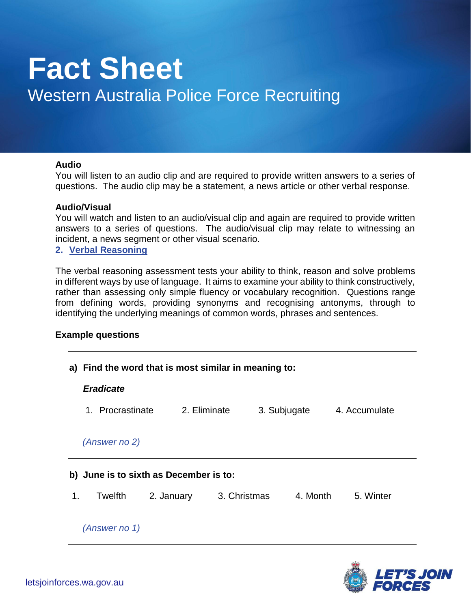#### **Audio**

You will listen to an audio clip and are required to provide written answers to a series of questions. The audio clip may be a statement, a news article or other verbal response.

#### **Audio/Visual**

You will watch and listen to an audio/visual clip and again are required to provide written answers to a series of questions. The audio/visual clip may relate to witnessing an incident, a news segment or other visual scenario.

**2. Verbal Reasoning**

The verbal reasoning assessment tests your ability to think, reason and solve problems in different ways by use of language. It aims to examine your ability to think constructively, rather than assessing only simple fluency or vocabulary recognition. Questions range from defining words, providing synonyms and recognising antonyms, through to identifying the underlying meanings of common words, phrases and sentences.

#### **Example questions**



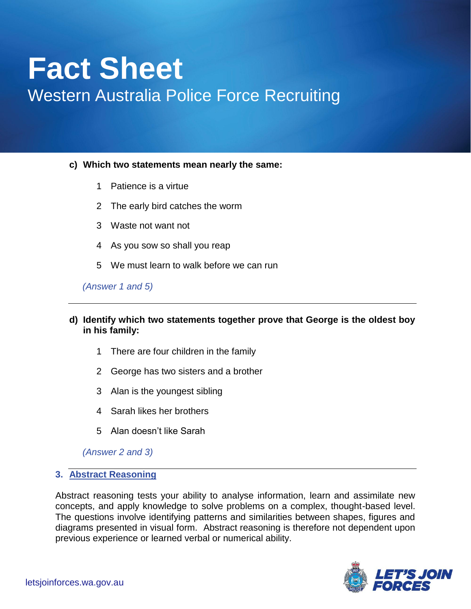#### **c) Which two statements mean nearly the same:**

- 1 Patience is a virtue
- 2 The early bird catches the worm
- 3 Waste not want not
- 4 As you sow so shall you reap
- 5 We must learn to walk before we can run

*(Answer 1 and 5)*

- **d) Identify which two statements together prove that George is the oldest boy in his family:**
	- 1 There are four children in the family
	- 2 George has two sisters and a brother
	- 3 Alan is the youngest sibling
	- 4 Sarah likes her brothers
	- 5 Alan doesn't like Sarah

#### *(Answer 2 and 3)*

#### **3. Abstract Reasoning**

Abstract reasoning tests your ability to analyse information, learn and assimilate new concepts, and apply knowledge to solve problems on a complex, thought-based level. The questions involve identifying patterns and similarities between shapes, figures and diagrams presented in visual form. Abstract reasoning is therefore not dependent upon previous experience or learned verbal or numerical ability.

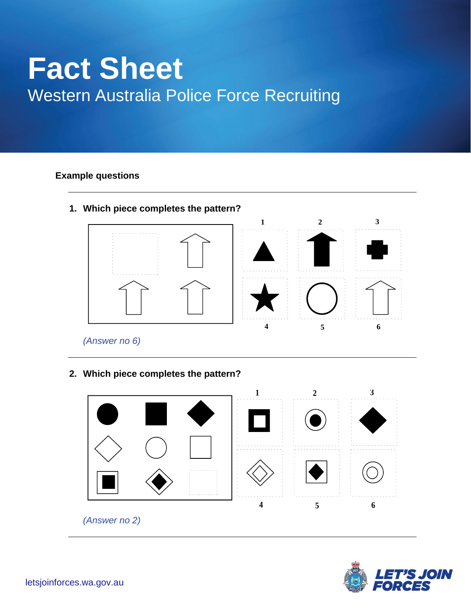### **Example questions**



### **2. Which piece completes the pattern?**